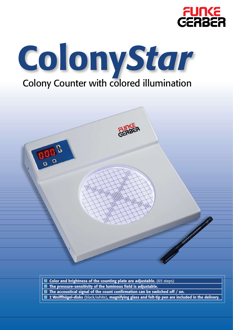





| $\Box$ Color and brightness of the counting plate are adjustable. (65 steps)                               |
|------------------------------------------------------------------------------------------------------------|
| $\Box$ The pressure-sensitivity of the luminous field is adjustable.                                       |
| $\Box$ The accoustical signal of the count confirmation can be switched off / on.                          |
| <b>I</b> 2 Wolffhügel-disks (black/white), magnifying glass and felt-tip pen are included in the delivery. |